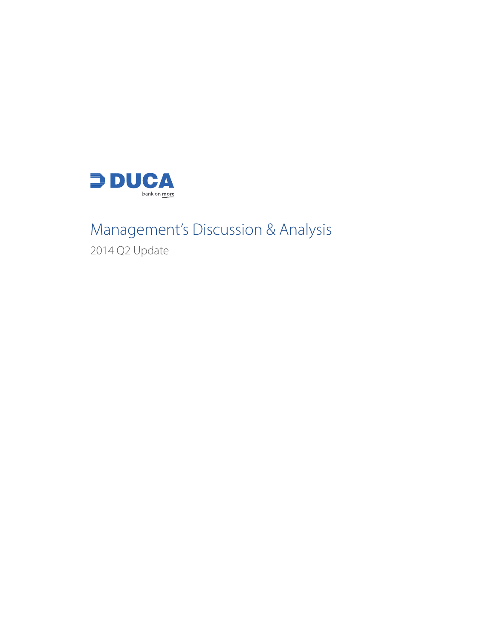

# Management's Discussion & Analysis

2014 Q2 Update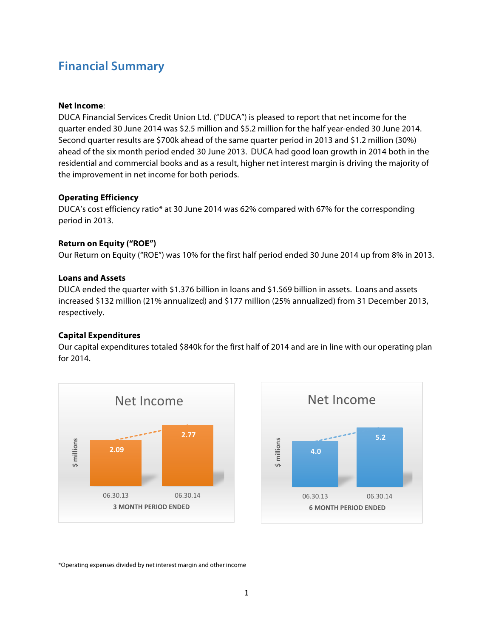### **Financial Summary**

### **Net Income**:

DUCA Financial Services Credit Union Ltd. ("DUCA") is pleased to report that net income for the quarter ended 30 June 2014 was \$2.5 million and \$5.2 million for the half year-ended 30 June 2014. Second quarter results are \$700k ahead of the same quarter period in 2013 and \$1.2 million (30%) ahead of the six month period ended 30 June 2013. DUCA had good loan growth in 2014 both in the residential and commercial books and as a result, higher net interest margin is driving the majority of the improvement in net income for both periods.

### **Operating Efficiency**

DUCA's cost efficiency ratio\* at 30 June 2014 was 62% compared with 67% for the corresponding period in 2013.

### **Return on Equity ("ROE")**

Our Return on Equity ("ROE") was 10% for the first half period ended 30 June 2014 up from 8% in 2013.

### **Loans and Assets**

DUCA ended the quarter with \$1.376 billion in loans and \$1.569 billion in assets. Loans and assets increased \$132 million (21% annualized) and \$177 million (25% annualized) from 31 December 2013, respectively.

### **Capital Expenditures**

Our capital expenditures totaled \$840k for the first half of 2014 and are in line with our operating plan for 2014.





\*Operating expenses divided by net interest margin and other income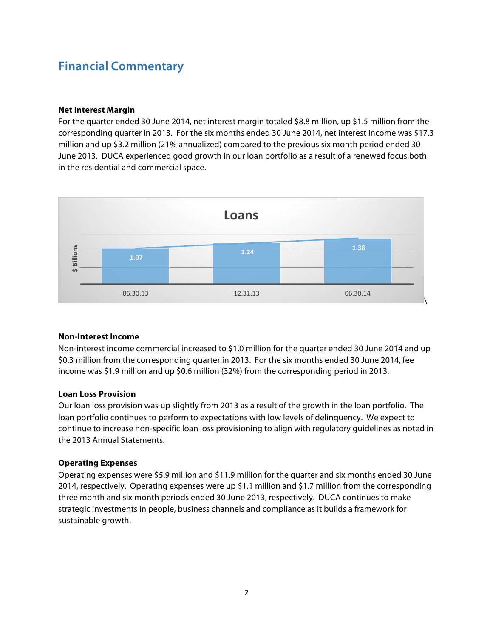## **Financial Commentary**

### **Net Interest Margin**

For the quarter ended 30 June 2014, net interest margin totaled \$8.8 million, up \$1.5 million from the corresponding quarter in 2013. For the six months ended 30 June 2014, net interest income was \$17.3 million and up \$3.2 million (21% annualized) compared to the previous six month period ended 30 June 2013. DUCA experienced good growth in our loan portfolio as a result of a renewed focus both in the residential and commercial space.



### **Non-Interest Income**

Non-interest income commercial increased to \$1.0 million for the quarter ended 30 June 2014 and up \$0.3 million from the corresponding quarter in 2013. For the six months ended 30 June 2014, fee income was \$1.9 million and up \$0.6 million (32%) from the corresponding period in 2013.

### **Loan Loss Provision**

Our loan loss provision was up slightly from 2013 as a result of the growth in the loan portfolio. The loan portfolio continues to perform to expectations with low levels of delinquency. We expect to continue to increase non-specific loan loss provisioning to align with regulatory guidelines as noted in the 2013 Annual Statements.

### **Operating Expenses**

Operating expenses were \$5.9 million and \$11.9 million for the quarter and six months ended 30 June 2014, respectively. Operating expenses were up \$1.1 million and \$1.7 million from the corresponding three month and six month periods ended 30 June 2013, respectively. DUCA continues to make strategic investments in people, business channels and compliance as it builds a framework for sustainable growth.